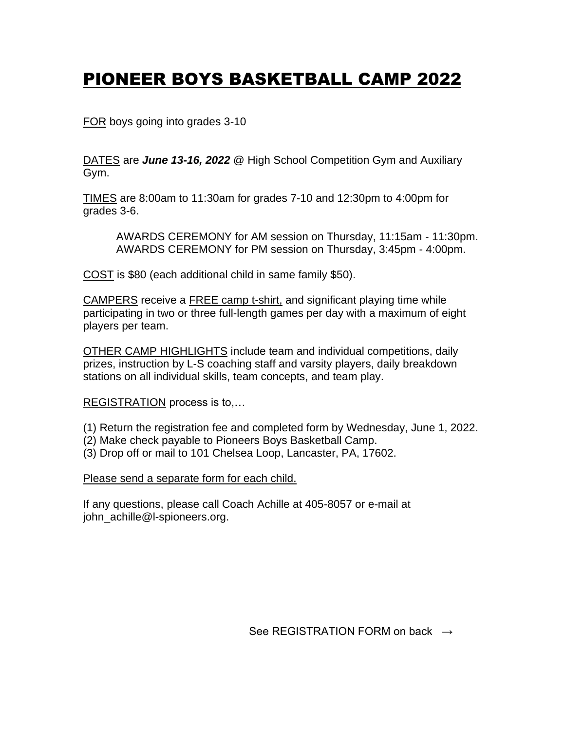## PIONEER BOYS BASKETBALL CAMP 2022

FOR boys going into grades 3-10

DATES are *June 13-16, 2022* @ High School Competition Gym and Auxiliary Gym.

TIMES are 8:00am to 11:30am for grades 7-10 and 12:30pm to 4:00pm for grades 3-6.

AWARDS CEREMONY for AM session on Thursday, 11:15am - 11:30pm. AWARDS CEREMONY for PM session on Thursday, 3:45pm - 4:00pm.

COST is \$80 (each additional child in same family \$50).

CAMPERS receive a FREE camp t-shirt, and significant playing time while participating in two or three full-length games per day with a maximum of eight players per team.

OTHER CAMP HIGHLIGHTS include team and individual competitions, daily prizes, instruction by L-S coaching staff and varsity players, daily breakdown stations on all individual skills, team concepts, and team play.

REGISTRATION process is to,…

(1) Return the registration fee and completed form by Wednesday, June 1, 2022.

- (2) Make check payable to Pioneers Boys Basketball Camp.
- (3) Drop off or mail to 101 Chelsea Loop, Lancaster, PA, 17602.

Please send a separate form for each child.

If any questions, please call Coach Achille at 405-8057 or e-mail at john\_achille@l-spioneers.org.

See REGISTRATION FORM on back  $\rightarrow$